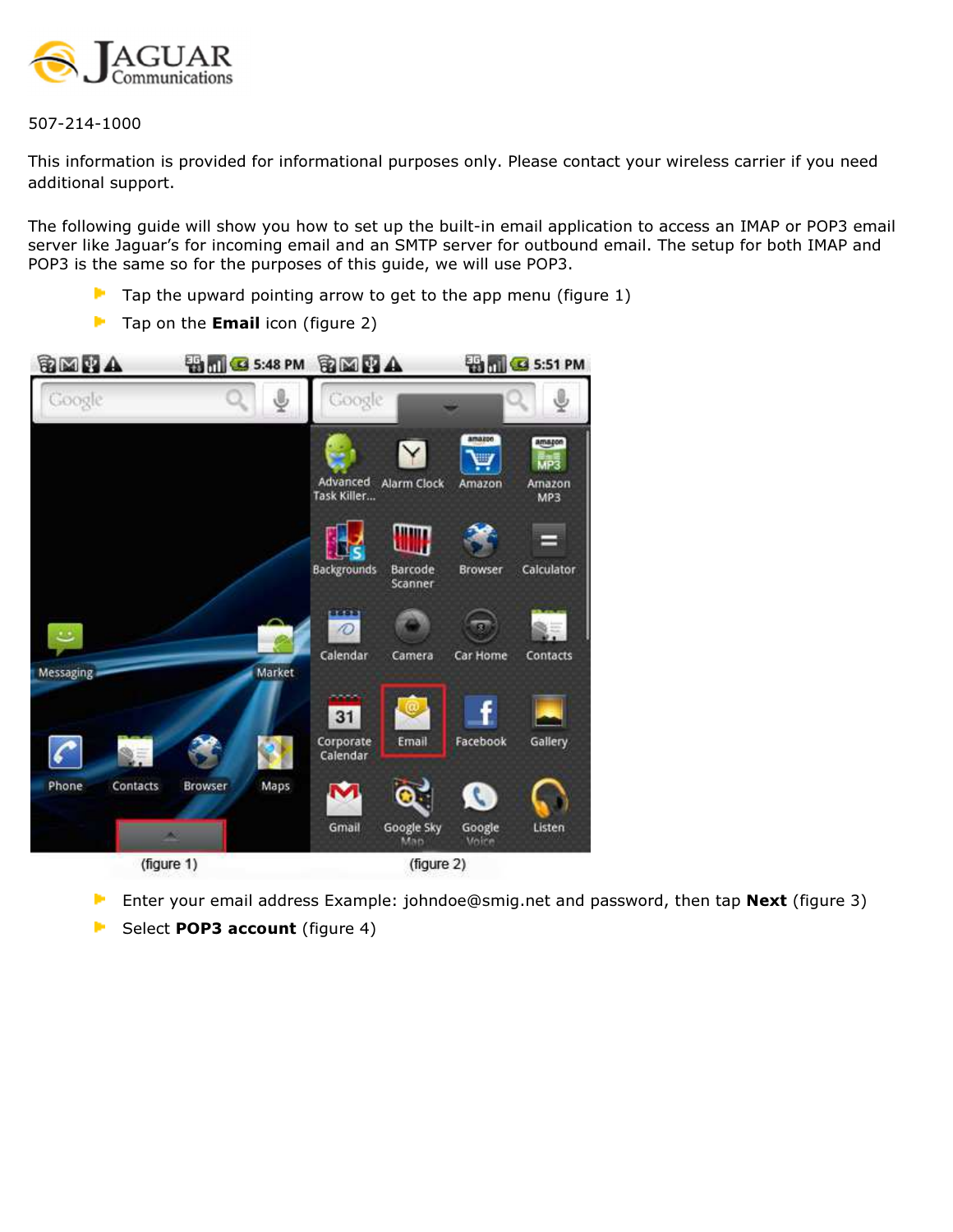

507-214-1000

This information is provided for informational purposes only. Please contact your wireless carrier if you need additional support.

The following guide will show you how to set up the built-in email application to access an IMAP or POP3 email server like Jaguar's for incoming email and an SMTP server for outbound email. The setup for both IMAP and POP3 is the same so for the purposes of this guide, we will use POP3.

- $\blacktriangleright$  Tap the upward pointing arrow to get to the app menu (figure 1)
- $\blacksquare$  Tap on the **Email** icon (figure 2)



- Enter your email address Example: johndoe@smig.net and password, then tap Next (figure 3) Þ
- Þ Select POP3 account (figure 4)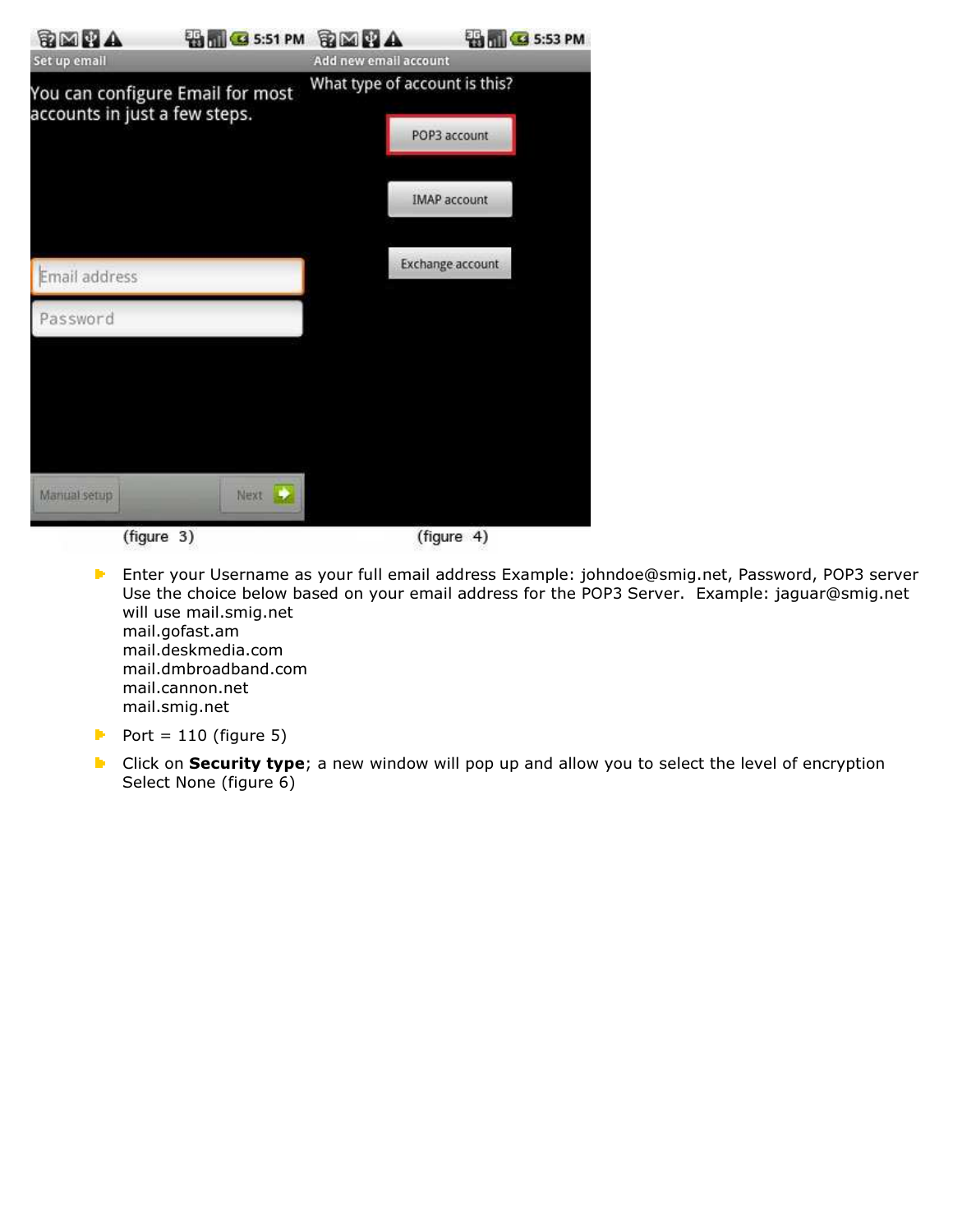| <b>BMHA</b>                                                       | <b>BIG 5:51 PM BEELA</b> |                       | <b>ED TO S:53 PM</b>                                                 |  |
|-------------------------------------------------------------------|--------------------------|-----------------------|----------------------------------------------------------------------|--|
| Set up email                                                      |                          | Add new email account |                                                                      |  |
| You can configure Email for most<br>accounts in just a few steps. |                          |                       | What type of account is this?<br>POP3 account<br><b>IMAP account</b> |  |
| Email address                                                     |                          |                       | <b>Exchange account</b>                                              |  |
| Password                                                          |                          |                       |                                                                      |  |
| Manual setup                                                      | Next <b>A</b>            |                       |                                                                      |  |
|                                                                   | (figure 3)               |                       | (figure 4)                                                           |  |

Enter your Username as your full email address Example: johndoe@smig.net, Password, POP3 server Use the choice below based on your email address for the POP3 Server. Example: jaguar@smig.net will use mail.smig.net mail.gofast.am mail.deskmedia.com mail.dmbroadband.com mail.cannon.net mail.smig.net

- Port =  $110$  (figure 5)
- **E** Click on **Security type**; a new window will pop up and allow you to select the level of encryption Select None (figure 6)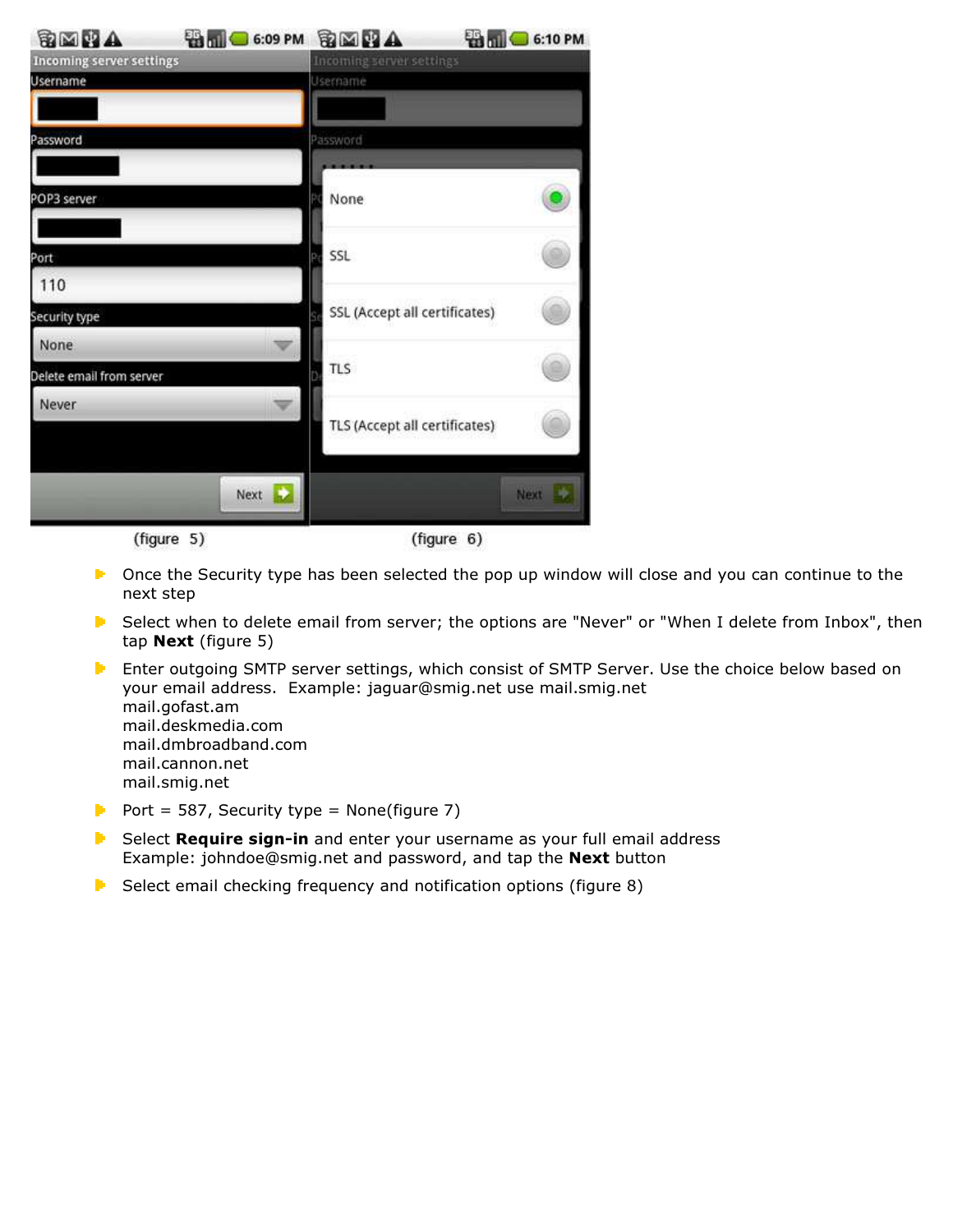| SMIA                            | <b>ED MU G 6:09 PM</b> | <b>BMPA</b>                   | <b>ED MIL CO 6:10 PM</b> |
|---------------------------------|------------------------|-------------------------------|--------------------------|
| <b>Incoming server settings</b> |                        | Incoming server settings      |                          |
| Username                        |                        | Username                      |                          |
|                                 |                        |                               |                          |
| Password                        |                        | Password                      |                          |
|                                 |                        |                               |                          |
| POP3 server                     |                        | None                          |                          |
|                                 |                        |                               |                          |
| Port                            |                        | SSL                           |                          |
| 110                             |                        |                               |                          |
| Security type                   |                        | SSL (Accept all certificates) |                          |
| None                            |                        |                               |                          |
| Delete email from server        |                        | <b>TLS</b>                    |                          |
| Never                           |                        |                               |                          |
|                                 |                        | TLS (Accept all certificates) |                          |
|                                 | Next                   |                               | Next La                  |
|                                 |                        |                               |                          |

(figure 5)

(figure 6)

- **E** Once the Security type has been selected the pop up window will close and you can continue to the next step
- **E** Select when to delete email from server; the options are "Never" or "When I delete from Inbox", then tap Next (figure 5)
- **E** Enter outgoing SMTP server settings, which consist of SMTP Server. Use the choice below based on your email address. Example: jaguar@smig.net use mail.smig.net mail.gofast.am mail.deskmedia.com mail.dmbroadband.com mail.cannon.net mail.smig.net
- Port = 587, Security type = None(figure 7)
- **E** Select Require sign-in and enter your username as your full email address Example: johndoe@smig.net and password, and tap the Next button
- $\blacktriangleright$  Select email checking frequency and notification options (figure 8)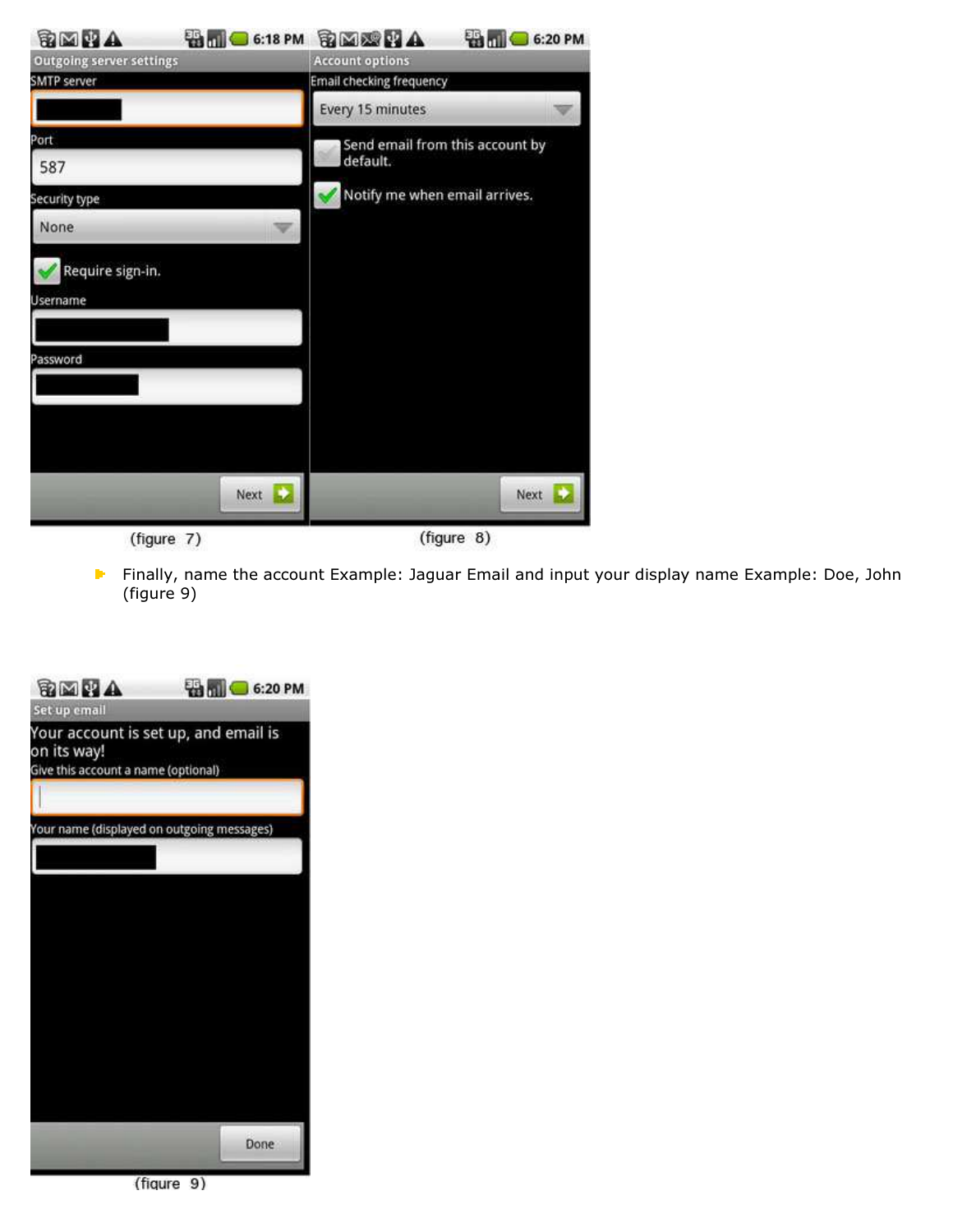| SMIA                            | <b>BIO</b> 6:18 PM BEERA |                                             | <b>B C</b> 6:20 PM |  |
|---------------------------------|--------------------------|---------------------------------------------|--------------------|--|
| <b>Outgoing server settings</b> |                          | <b>Account options</b>                      |                    |  |
| <b>SMTP</b> server              |                          | <b>Email checking frequency</b>             |                    |  |
|                                 |                          | Every 15 minutes                            |                    |  |
| Port<br>587                     |                          | Send email from this account by<br>default. |                    |  |
| Security type                   |                          | Notify me when email arrives.               |                    |  |
| None                            |                          |                                             |                    |  |
| Require sign-in.                |                          |                                             |                    |  |
| Username                        |                          |                                             |                    |  |
|                                 |                          |                                             |                    |  |
| Password                        |                          |                                             |                    |  |
|                                 |                          |                                             |                    |  |
|                                 |                          |                                             |                    |  |
|                                 |                          |                                             |                    |  |
|                                 | Next 2                   |                                             | Next               |  |
| (figure 7)                      |                          | (figure 8)                                  |                    |  |

**F** Finally, name the account Example: Jaguar Email and input your display name Example: Doe, John (figure 9)